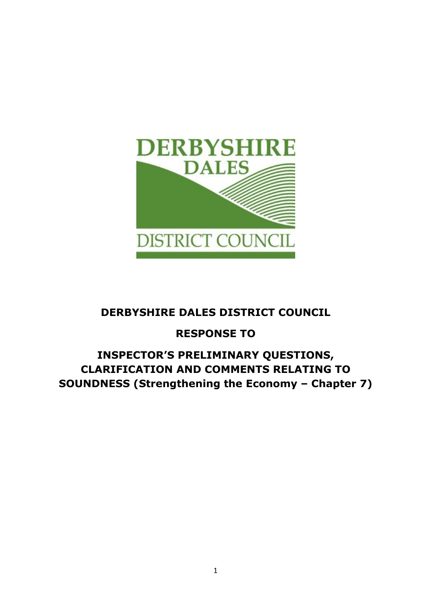

# DERBYSHIRE DALES DISTRICT COUNCIL

# RESPONSE TO

# INSPECTOR'S PRELIMINARY QUESTIONS, CLARIFICATION AND COMMENTS RELATING TO SOUNDNESS (Strengthening the Economy – Chapter 7)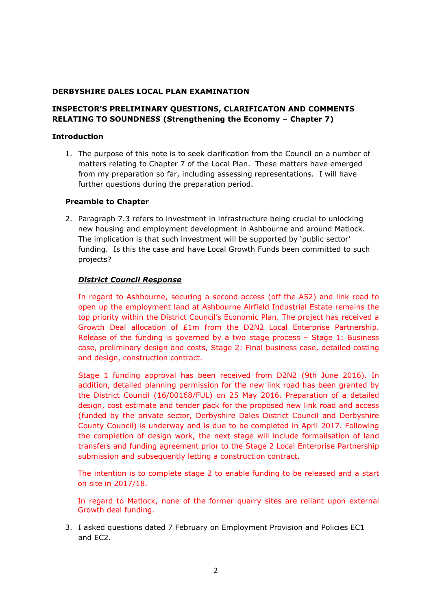### DERBYSHIRE DALES LOCAL PLAN EXAMINATION

# INSPECTOR'S PRELIMINARY QUESTIONS, CLARIFICATON AND COMMENTS RELATING TO SOUNDNESS (Strengthening the Economy – Chapter 7)

#### Introduction

1. The purpose of this note is to seek clarification from the Council on a number of matters relating to Chapter 7 of the Local Plan. These matters have emerged from my preparation so far, including assessing representations. I will have further questions during the preparation period.

### Preamble to Chapter

2. Paragraph 7.3 refers to investment in infrastructure being crucial to unlocking new housing and employment development in Ashbourne and around Matlock. The implication is that such investment will be supported by 'public sector' funding. Is this the case and have Local Growth Funds been committed to such projects?

### District Council Response

 In regard to Ashbourne, securing a second access (off the A52) and link road to open up the employment land at Ashbourne Airfield Industrial Estate remains the top priority within the District Council's Economic Plan. The project has received a Growth Deal allocation of £1m from the D2N2 Local Enterprise Partnership. Release of the funding is governed by a two stage process – Stage 1: Business case, preliminary design and costs, Stage 2: Final business case, detailed costing and design, construction contract.

 Stage 1 funding approval has been received from D2N2 (9th June 2016). In addition, detailed planning permission for the new link road has been granted by the District Council (16/00168/FUL) on 25 May 2016. Preparation of a detailed design, cost estimate and tender pack for the proposed new link road and access (funded by the private sector, Derbyshire Dales District Council and Derbyshire County Council) is underway and is due to be completed in April 2017. Following the completion of design work, the next stage will include formalisation of land transfers and funding agreement prior to the Stage 2 Local Enterprise Partnership submission and subsequently letting a construction contract.

The intention is to complete stage 2 to enable funding to be released and a start on site in 2017/18.

In regard to Matlock, none of the former quarry sites are reliant upon external Growth deal funding.

3. I asked questions dated 7 February on Employment Provision and Policies EC1 and EC2.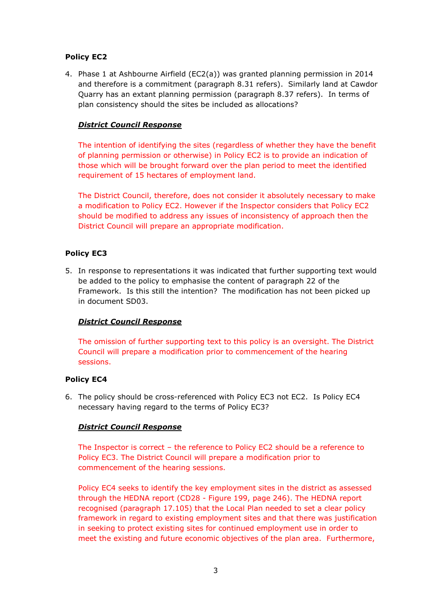# Policy EC2

4. Phase 1 at Ashbourne Airfield (EC2(a)) was granted planning permission in 2014 and therefore is a commitment (paragraph 8.31 refers). Similarly land at Cawdor Quarry has an extant planning permission (paragraph 8.37 refers). In terms of plan consistency should the sites be included as allocations?

# District Council Response

The intention of identifying the sites (regardless of whether they have the benefit of planning permission or otherwise) in Policy EC2 is to provide an indication of those which will be brought forward over the plan period to meet the identified requirement of 15 hectares of employment land.

The District Council, therefore, does not consider it absolutely necessary to make a modification to Policy EC2. However if the Inspector considers that Policy EC2 should be modified to address any issues of inconsistency of approach then the District Council will prepare an appropriate modification.

# Policy EC3

5. In response to representations it was indicated that further supporting text would be added to the policy to emphasise the content of paragraph 22 of the Framework. Is this still the intention? The modification has not been picked up in document SD03.

# District Council Response

The omission of further supporting text to this policy is an oversight. The District Council will prepare a modification prior to commencement of the hearing sessions.

# Policy EC4

6. The policy should be cross-referenced with Policy EC3 not EC2. Is Policy EC4 necessary having regard to the terms of Policy EC3?

# District Council Response

The Inspector is correct – the reference to Policy EC2 should be a reference to Policy EC3. The District Council will prepare a modification prior to commencement of the hearing sessions.

Policy EC4 seeks to identify the key employment sites in the district as assessed through the HEDNA report (CD28 - Figure 199, page 246). The HEDNA report recognised (paragraph 17.105) that the Local Plan needed to set a clear policy framework in regard to existing employment sites and that there was justification in seeking to protect existing sites for continued employment use in order to meet the existing and future economic objectives of the plan area. Furthermore,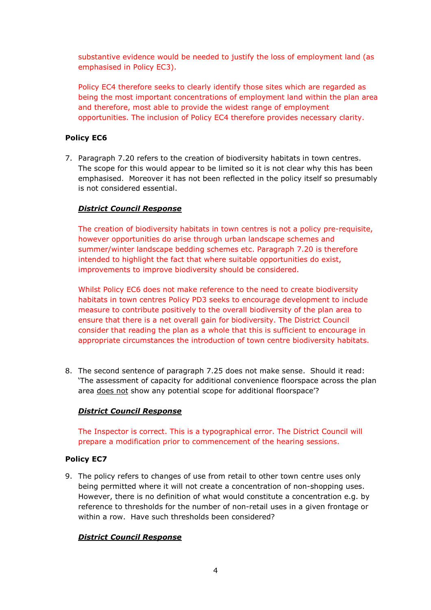substantive evidence would be needed to justify the loss of employment land (as emphasised in Policy EC3).

Policy EC4 therefore seeks to clearly identify those sites which are regarded as being the most important concentrations of employment land within the plan area and therefore, most able to provide the widest range of employment opportunities. The inclusion of Policy EC4 therefore provides necessary clarity.

# Policy EC6

7. Paragraph 7.20 refers to the creation of biodiversity habitats in town centres. The scope for this would appear to be limited so it is not clear why this has been emphasised. Moreover it has not been reflected in the policy itself so presumably is not considered essential.

# District Council Response

The creation of biodiversity habitats in town centres is not a policy pre-requisite, however opportunities do arise through urban landscape schemes and summer/winter landscape bedding schemes etc. Paragraph 7.20 is therefore intended to highlight the fact that where suitable opportunities do exist, improvements to improve biodiversity should be considered.

Whilst Policy EC6 does not make reference to the need to create biodiversity habitats in town centres Policy PD3 seeks to encourage development to include measure to contribute positively to the overall biodiversity of the plan area to ensure that there is a net overall gain for biodiversity. The District Council consider that reading the plan as a whole that this is sufficient to encourage in appropriate circumstances the introduction of town centre biodiversity habitats.

8. The second sentence of paragraph 7.25 does not make sense. Should it read: 'The assessment of capacity for additional convenience floorspace across the plan area does not show any potential scope for additional floorspace'?

# District Council Response

The Inspector is correct. This is a typographical error. The District Council will prepare a modification prior to commencement of the hearing sessions.

# Policy EC7

9. The policy refers to changes of use from retail to other town centre uses only being permitted where it will not create a concentration of non-shopping uses. However, there is no definition of what would constitute a concentration e.g. by reference to thresholds for the number of non-retail uses in a given frontage or within a row. Have such thresholds been considered?

# District Council Response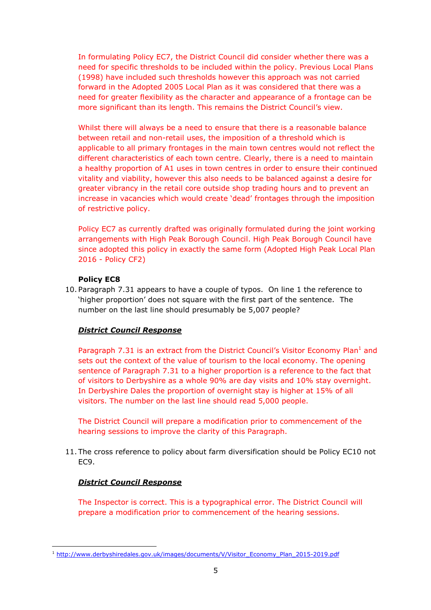In formulating Policy EC7, the District Council did consider whether there was a need for specific thresholds to be included within the policy. Previous Local Plans (1998) have included such thresholds however this approach was not carried forward in the Adopted 2005 Local Plan as it was considered that there was a need for greater flexibility as the character and appearance of a frontage can be more significant than its length. This remains the District Council's view.

Whilst there will always be a need to ensure that there is a reasonable balance between retail and non-retail uses, the imposition of a threshold which is applicable to all primary frontages in the main town centres would not reflect the different characteristics of each town centre. Clearly, there is a need to maintain a healthy proportion of A1 uses in town centres in order to ensure their continued vitality and viability, however this also needs to be balanced against a desire for greater vibrancy in the retail core outside shop trading hours and to prevent an increase in vacancies which would create 'dead' frontages through the imposition of restrictive policy.

Policy EC7 as currently drafted was originally formulated during the joint working arrangements with High Peak Borough Council. High Peak Borough Council have since adopted this policy in exactly the same form (Adopted High Peak Local Plan 2016 - Policy CF2)

### Policy EC8

10. Paragraph 7.31 appears to have a couple of typos. On line 1 the reference to 'higher proportion' does not square with the first part of the sentence. The number on the last line should presumably be 5,007 people?

# District Council Response

Paragraph 7.31 is an extract from the District Council's Visitor Economy Plan<sup>1</sup> and sets out the context of the value of tourism to the local economy. The opening sentence of Paragraph 7.31 to a higher proportion is a reference to the fact that of visitors to Derbyshire as a whole 90% are day visits and 10% stay overnight. In Derbyshire Dales the proportion of overnight stay is higher at 15% of all visitors. The number on the last line should read 5,000 people.

The District Council will prepare a modification prior to commencement of the hearing sessions to improve the clarity of this Paragraph.

11. The cross reference to policy about farm diversification should be Policy EC10 not EC9.

# District Council Response

l

The Inspector is correct. This is a typographical error. The District Council will prepare a modification prior to commencement of the hearing sessions.

<sup>&</sup>lt;sup>1</sup> http://www.derbyshiredales.gov.uk/images/documents/V/Visitor\_Economy\_Plan\_2015-2019.pdf